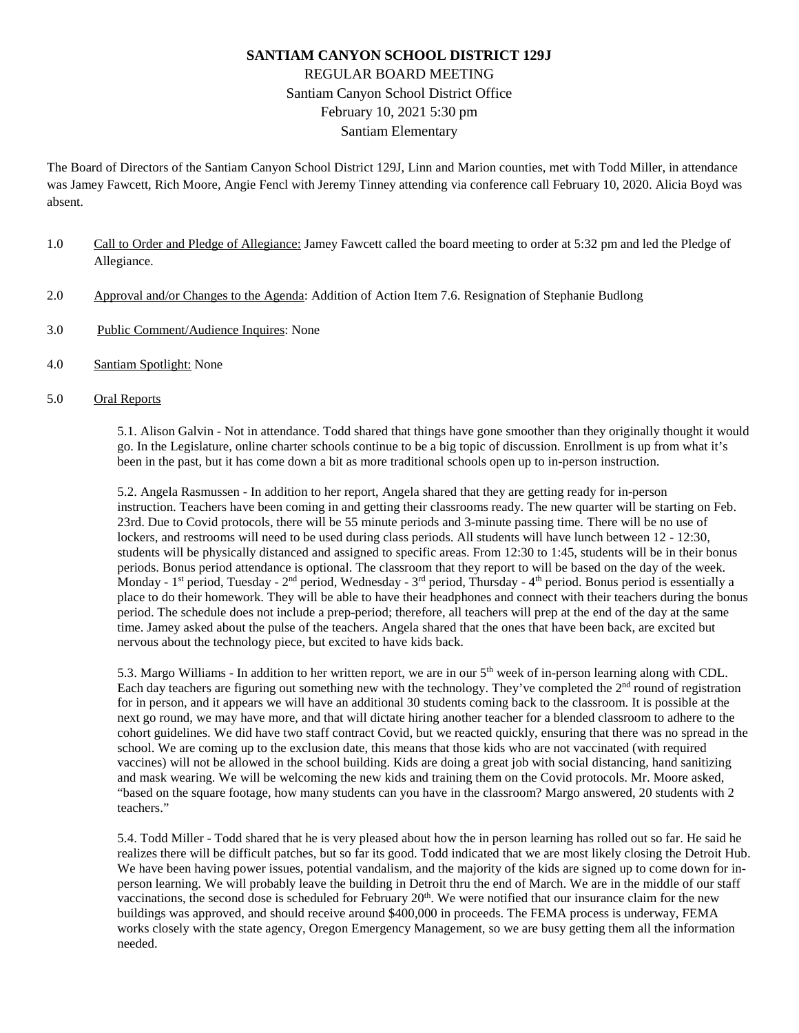# **SANTIAM CANYON SCHOOL DISTRICT 129J** REGULAR BOARD MEETING Santiam Canyon School District Office February 10, 2021 5:30 pm Santiam Elementary

The Board of Directors of the Santiam Canyon School District 129J, Linn and Marion counties, met with Todd Miller, in attendance was Jamey Fawcett, Rich Moore, Angie Fencl with Jeremy Tinney attending via conference call February 10, 2020. Alicia Boyd was absent.

- 1.0 Call to Order and Pledge of Allegiance: Jamey Fawcett called the board meeting to order at 5:32 pm and led the Pledge of Allegiance.
- 2.0 Approval and/or Changes to the Agenda: Addition of Action Item 7.6. Resignation of Stephanie Budlong
- 3.0 Public Comment/Audience Inquires: None
- 4.0 Santiam Spotlight: None
- 5.0 Oral Reports

5.1. Alison Galvin - Not in attendance. Todd shared that things have gone smoother than they originally thought it would go. In the Legislature, online charter schools continue to be a big topic of discussion. Enrollment is up from what it's been in the past, but it has come down a bit as more traditional schools open up to in-person instruction.

5.2. Angela Rasmussen - In addition to her report, Angela shared that they are getting ready for in-person instruction. Teachers have been coming in and getting their classrooms ready. The new quarter will be starting on Feb. 23rd. Due to Covid protocols, there will be 55 minute periods and 3-minute passing time. There will be no use of lockers, and restrooms will need to be used during class periods. All students will have lunch between 12 - 12:30, students will be physically distanced and assigned to specific areas. From 12:30 to 1:45, students will be in their bonus periods. Bonus period attendance is optional. The classroom that they report to will be based on the day of the week. Monday - 1<sup>st</sup> period, Tuesday - 2<sup>nd</sup> period, Wednesday - 3<sup>rd</sup> period, Thursday - 4<sup>th</sup> period. Bonus period is essentially a place to do their homework. They will be able to have their headphones and connect with their teachers during the bonus period. The schedule does not include a prep-period; therefore, all teachers will prep at the end of the day at the same time. Jamey asked about the pulse of the teachers. Angela shared that the ones that have been back, are excited but nervous about the technology piece, but excited to have kids back.

5.3. Margo Williams - In addition to her written report, we are in our 5th week of in-person learning along with CDL. Each day teachers are figuring out something new with the technology. They've completed the 2<sup>nd</sup> round of registration for in person, and it appears we will have an additional 30 students coming back to the classroom. It is possible at the next go round, we may have more, and that will dictate hiring another teacher for a blended classroom to adhere to the cohort guidelines. We did have two staff contract Covid, but we reacted quickly, ensuring that there was no spread in the school. We are coming up to the exclusion date, this means that those kids who are not vaccinated (with required vaccines) will not be allowed in the school building. Kids are doing a great job with social distancing, hand sanitizing and mask wearing. We will be welcoming the new kids and training them on the Covid protocols. Mr. Moore asked, "based on the square footage, how many students can you have in the classroom? Margo answered, 20 students with 2 teachers."

5.4. Todd Miller - Todd shared that he is very pleased about how the in person learning has rolled out so far. He said he realizes there will be difficult patches, but so far its good. Todd indicated that we are most likely closing the Detroit Hub. We have been having power issues, potential vandalism, and the majority of the kids are signed up to come down for inperson learning. We will probably leave the building in Detroit thru the end of March. We are in the middle of our staff vaccinations, the second dose is scheduled for February  $20<sup>th</sup>$ . We were notified that our insurance claim for the new buildings was approved, and should receive around \$400,000 in proceeds. The FEMA process is underway, FEMA works closely with the state agency, Oregon Emergency Management, so we are busy getting them all the information needed.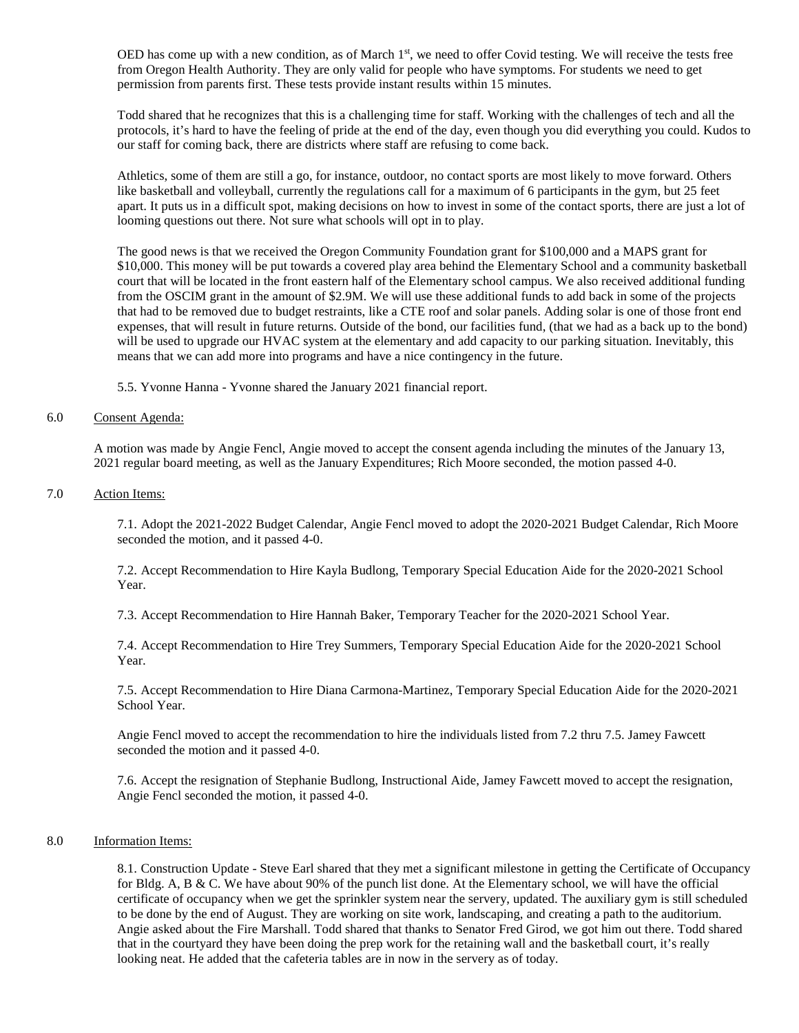OED has come up with a new condition, as of March 1<sup>st</sup>, we need to offer Covid testing. We will receive the tests free from Oregon Health Authority. They are only valid for people who have symptoms. For students we need to get permission from parents first. These tests provide instant results within 15 minutes.

Todd shared that he recognizes that this is a challenging time for staff. Working with the challenges of tech and all the protocols, it's hard to have the feeling of pride at the end of the day, even though you did everything you could. Kudos to our staff for coming back, there are districts where staff are refusing to come back.

Athletics, some of them are still a go, for instance, outdoor, no contact sports are most likely to move forward. Others like basketball and volleyball, currently the regulations call for a maximum of 6 participants in the gym, but 25 feet apart. It puts us in a difficult spot, making decisions on how to invest in some of the contact sports, there are just a lot of looming questions out there. Not sure what schools will opt in to play.

The good news is that we received the Oregon Community Foundation grant for \$100,000 and a MAPS grant for \$10,000. This money will be put towards a covered play area behind the Elementary School and a community basketball court that will be located in the front eastern half of the Elementary school campus. We also received additional funding from the OSCIM grant in the amount of \$2.9M. We will use these additional funds to add back in some of the projects that had to be removed due to budget restraints, like a CTE roof and solar panels. Adding solar is one of those front end expenses, that will result in future returns. Outside of the bond, our facilities fund, (that we had as a back up to the bond) will be used to upgrade our HVAC system at the elementary and add capacity to our parking situation. Inevitably, this means that we can add more into programs and have a nice contingency in the future.

5.5. Yvonne Hanna - Yvonne shared the January 2021 financial report.

#### 6.0 Consent Agenda:

A motion was made by Angie Fencl, Angie moved to accept the consent agenda including the minutes of the January 13, 2021 regular board meeting, as well as the January Expenditures; Rich Moore seconded, the motion passed 4-0.

### 7.0 Action Items:

7.1. Adopt the 2021-2022 Budget Calendar, Angie Fencl moved to adopt the 2020-2021 Budget Calendar, Rich Moore seconded the motion, and it passed 4-0.

7.2. Accept Recommendation to Hire Kayla Budlong, Temporary Special Education Aide for the 2020-2021 School Year.

7.3. Accept Recommendation to Hire Hannah Baker, Temporary Teacher for the 2020-2021 School Year.

7.4. Accept Recommendation to Hire Trey Summers, Temporary Special Education Aide for the 2020-2021 School Year.

7.5. Accept Recommendation to Hire Diana Carmona-Martinez, Temporary Special Education Aide for the 2020-2021 School Year.

Angie Fencl moved to accept the recommendation to hire the individuals listed from 7.2 thru 7.5. Jamey Fawcett seconded the motion and it passed 4-0.

7.6. Accept the resignation of Stephanie Budlong, Instructional Aide, Jamey Fawcett moved to accept the resignation, Angie Fencl seconded the motion, it passed 4-0.

### 8.0 Information Items:

8.1. Construction Update - Steve Earl shared that they met a significant milestone in getting the Certificate of Occupancy for Bldg. A, B & C. We have about 90% of the punch list done. At the Elementary school, we will have the official certificate of occupancy when we get the sprinkler system near the servery, updated. The auxiliary gym is still scheduled to be done by the end of August. They are working on site work, landscaping, and creating a path to the auditorium. Angie asked about the Fire Marshall. Todd shared that thanks to Senator Fred Girod, we got him out there. Todd shared that in the courtyard they have been doing the prep work for the retaining wall and the basketball court, it's really looking neat. He added that the cafeteria tables are in now in the servery as of today.